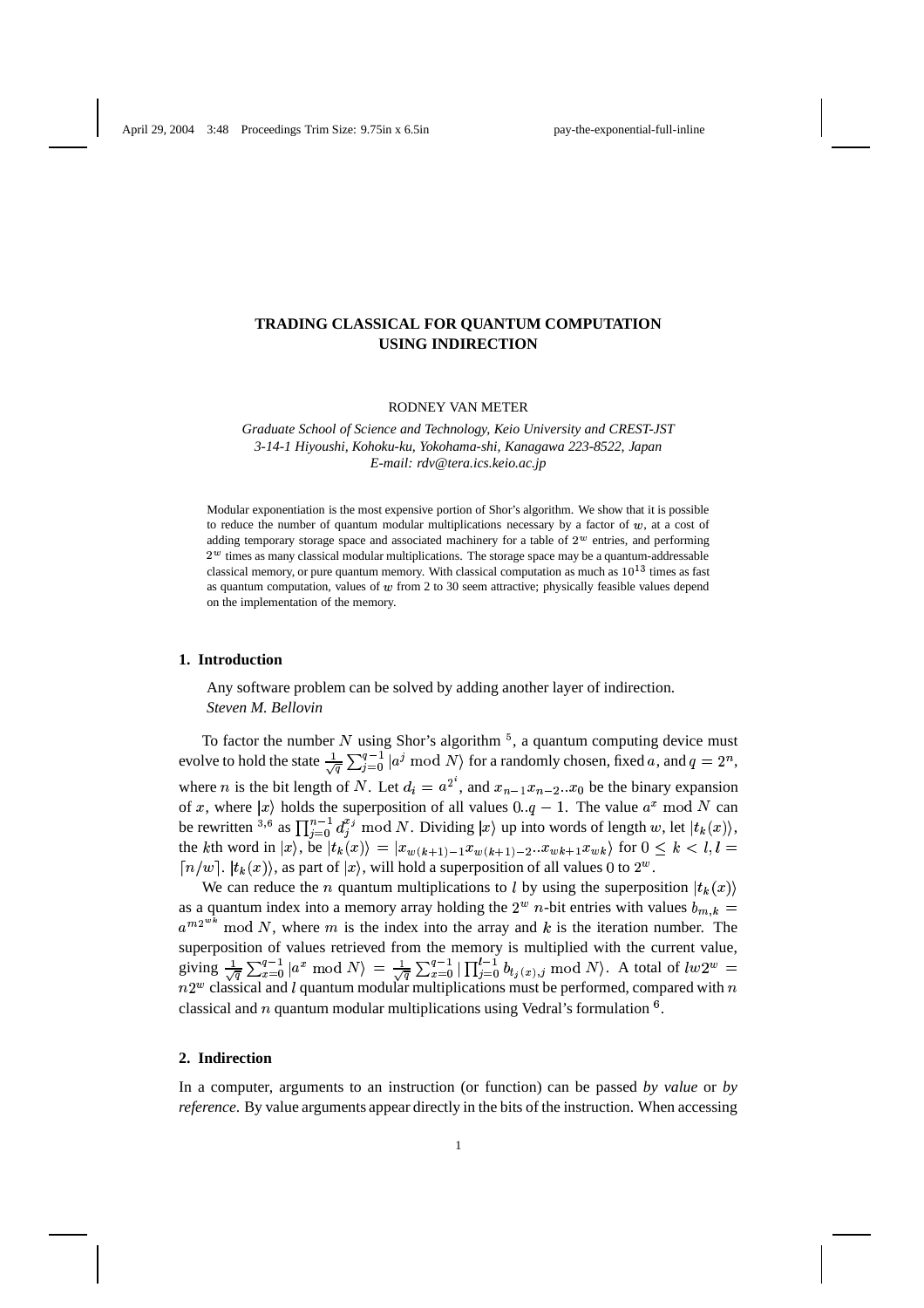# **TRADING CLASSICAL FOR QUANTUM COMPUTATION USING INDIRECTION**

RODNEY VAN METER

*Graduate School of Science and Technology, Keio University and CREST-JST 3-14-1 Hiyoushi, Kohoku-ku, Yokohama-shi, Kanagawa 223-8522, Japan E-mail: rdv@tera.ics.keio.ac.jp*

Modular exponentiation is the most expensive portion of Shor's algorithm. We show that it is possible to reduce the number of quantum modular multiplications necessary by a factor of  $w$ , at a cost of adding temporary storage space and associated machinery for a table of  $2<sup>w</sup>$  entries, and performing  $2^w$  times as many classical modular multiplications. The storage space may be a quantum-addressable classical memory, or pure quantum memory. With classical computation as much as  $10^{13}$  times as fast as quantum computation, values of  $w$  from 2 to 30 seem attractive; physically feasible values depend on the implementation of the memory.

# **1. Introduction**

Any software problem can be solved by adding another layer of indirection. *Steven M. Bellovin*

To factor the number N using Shor's algorithm  $5$ , a quantum computing device must evolve to hold the state  $\frac{1}{\sqrt{a}}\sum_{i=0}^{q-1} |a^j \bmod N\rangle$  for a  $\int_{i=0}^{q-1} |a^j \bmod N\rangle$  for a randomly chosen, fixed a, and  $q=2^n$ , where *n* is the bit length of *N*. Let  $d_i = a^2$ , and  $x_{n-1}x_{n-2}...x_0$  be the binary expansion of x, where  $|x\rangle$  holds the superposition of all values  $0 \cdot q - 1$ . The value  $a^x \mod N$  can be rewritten <sup>3,6</sup> as  $\prod_{i=0}^{n-1} d_i^{x_i} \mod N$ . Dividing  $|x\rangle$  up into words of length w, let  $|t_k(x)\rangle$ , the kth word in  $|x\rangle$ , be  $|t_k(x)\rangle = |x_{w(k+1)-1}x_{w(k+1)-2}...x_{wk+1}x_{wk}\rangle$  for  $0 \le k \le l, l =$  $\lceil n/w \rceil$ .  $|t_k(x)\rangle$ , as part of  $|x\rangle$ , will hold a superposition of all values 0 to  $2^w$ .

We can reduce the *n* quantum multiplications to *l* by using the superposition  $|t_k(x)\rangle$ as a quantum index into a memory array holding the  $2^w$  *n*-bit entries with values  $b_{m,k}$  =  $a^{m2^{wk}}$  mod N, where m is the index into the array and k is the iteration number. The superposition of values retrieved from the memory is multiplied with the current value, giving  $\frac{1}{\sqrt{a}} \sum_{x=0}^{q-1} |a^x \bmod N\rangle =$ the contract of the contract of the contract of the contract of the contract of the contract of the contract of  $\binom{q-1}{x=0}$   $\ket{a^x \bmod N} \, = \, \frac{1}{\sqrt{q}} \sum_{x=0}^{q-1} |\prod_{j=0}^{t-1} b_{t_j(x),j}|$   $\prod_{y=0}^{t}$ je na obrazovanje koji se obrazovanje koji se obrazovanje koji se obrazovanje koji se obrazovanje koji se obra giving  $\frac{1}{\sqrt{q}} \sum_{x=0}^{q-1} |a^x \bmod N\rangle = \frac{1}{\sqrt{q}} \sum_{x=0}^{q-1} |\prod_{j=0}^{l-1} b_{t_j(x),j} \bmod N\rangle$ . A total of  $lw2^w = n2^w$  classical and *l* quantum modular multiplications must be performed, compared with *n* classical and  $n$  quantum modular multiplications using Vedral's formulation  $6$ .

### **2. Indirection**

In a computer, arguments to an instruction (or function) can be passed *by value* or *by reference*. By value arguments appear directly in the bits of the instruction. When accessing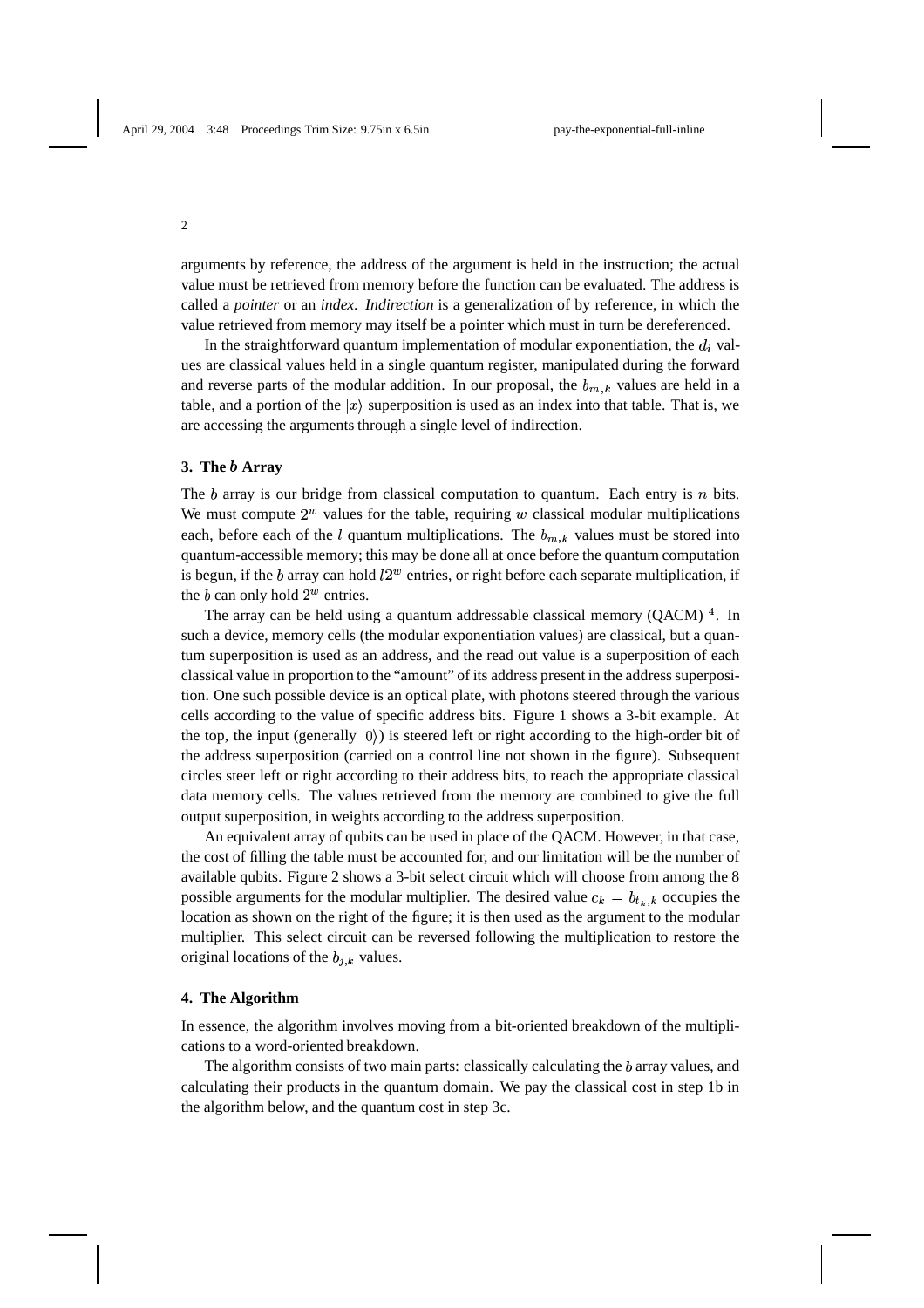arguments by reference, the address of the argument is held in the instruction; the actual value must be retrieved from memory before the function can be evaluated. The address is called a *pointer* or an *index*. *Indirection* is a generalization of by reference, in which the value retrieved from memory may itself be a pointer which must in turn be dereferenced.

In the straightforward quantum implementation of modular exponentiation, the  $d_i$  values are classical values held in a single quantum register, manipulated during the forward and reverse parts of the modular addition. In our proposal, the  $b_{m,k}$  values are held in a table, and a portion of the  $|x\rangle$  superposition is used as an index into that table. That is, we are accessing the arguments through a single level of indirection.

### **3. The Array**

The  $b$  array is our bridge from classical computation to quantum. Each entry is  $n$  bits. We must compute  $2^w$  values for the table, requiring w classical modular multiplications each, before each of the  $l$  quantum multiplications. The  $b_{m,k}$  values must be stored into quantum-accessible memory; this may be done all at once before the quantum computation is begun, if the b array can hold  $l2^w$  entries, or right before each separate multiplication, if the b can only hold  $2^w$  entries.

The array can be held using a quantum addressable classical memory  $(QACM)$ <sup>4</sup>. In such a device, memory cells (the modular exponentiation values) are classical, but a quantum superposition is used as an address, and the read out value is a superposition of each classical value in proportion to the "amount" of its address present in the address superposition. One such possible device is an optical plate, with photons steered through the various cells according to the value of specific address bits. Figure 1 shows a 3-bit example. At the top, the input (generally  $|0\rangle$ ) is steered left or right according to the high-order bit of the address superposition (carried on a control line not shown in the figure). Subsequent circles steer left or right according to their address bits, to reach the appropriate classical data memory cells. The values retrieved from the memory are combined to give the full output superposition, in weights according to the address superposition.

An equivalent array of qubits can be used in place of the QACM. However, in that case, the cost of filling the table must be accounted for, and our limitation will be the number of available qubits. Figure 2 shows a 3-bit select circuit which will choose from among the 8 possible arguments for the modular multiplier. The desired value  $c_k = b_{t_k,k}$  occupies the location as shown on the right of the figure; it is then used as the argument to the modular multiplier. This select circuit can be reversed following the multiplication to restore the original locations of the  $b_{j,k}$  values.

### **4. The Algorithm**

In essence, the algorithm involves moving from a bit-oriented breakdown of the multiplications to a word-oriented breakdown.

The algorithm consists of two main parts: classically calculating the  $b$  array values, and calculating their products in the quantum domain. We pay the classical cost in step 1b in the algorithm below, and the quantum cost in step 3c.

#### 2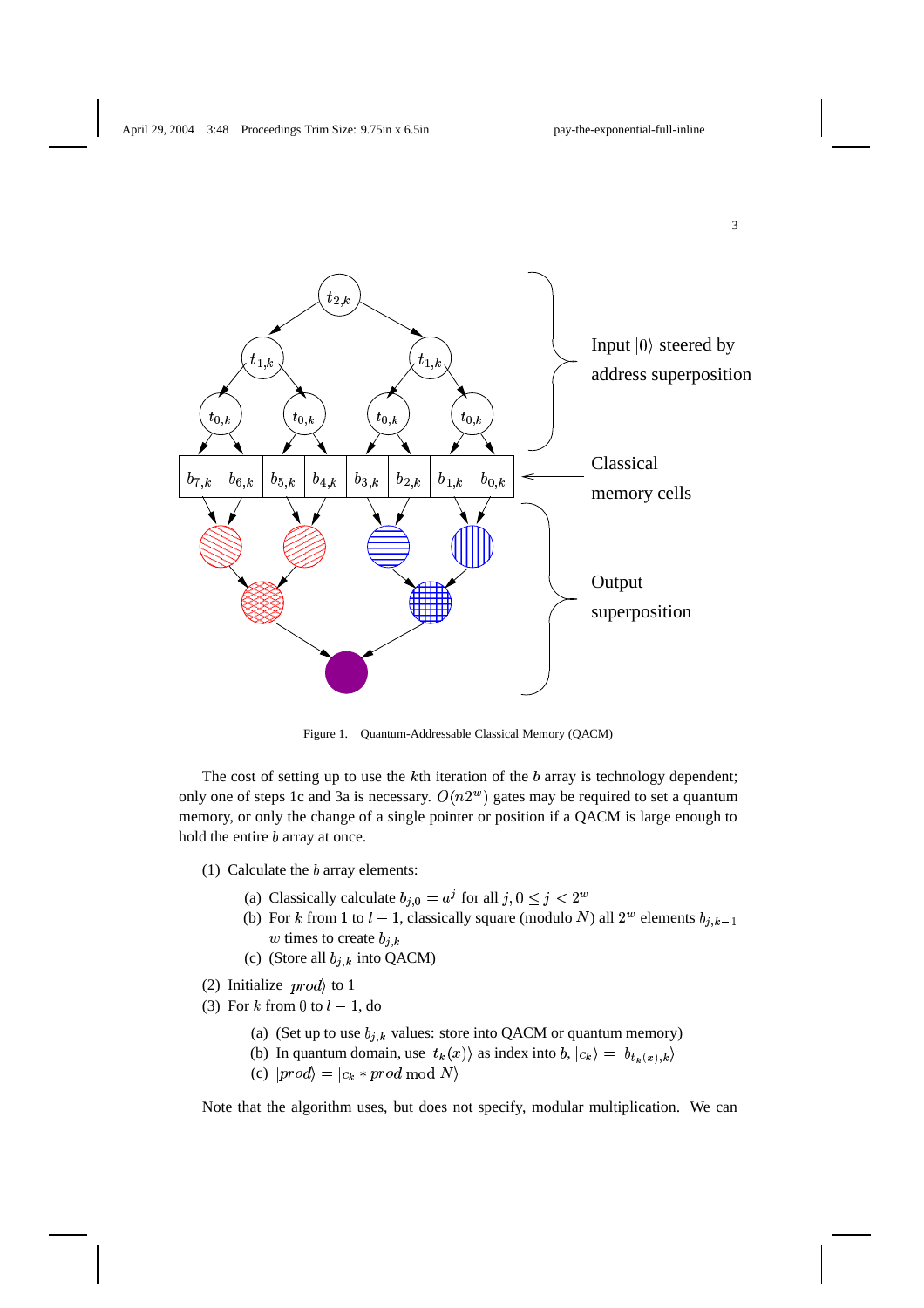

Figure 1. Quantum-Addressable Classical Memory (QACM)

The cost of setting up to use the  $k$ th iteration of the  $b$  array is technology dependent; only one of steps 1c and 3a is necessary.  $O(n2<sup>w</sup>)$  gates may be required to set a quantum memory, or only the change of a single pointer or position if a QACM is large enough to hold the entire  $b$  array at once.

- (1) Calculate the  $b$  array elements:
	- (a) Classically calculate  $b_{j,0} = a^j$  for all  $j, 0 \le j < 2^w$
	- (b) For k from 1 to  $l-1$ , classically square (modulo N) all  $2^w$  elements  $b_{j,k-1}$ w times to create  $b_{i,k}$
	- (c) (Store all  $b_{j,k}$  into QACM)
- (2) Initialize  $|prod\rangle$  to 1
- (3) For k from 0 to  $l-1$ , do
	- (a) (Set up to use  $b_{j,k}$  values: store into QACM or quantum memory)
	- (b) In quantum domain, use  $|t_k(x)\rangle$  as index into  $b, |c_k\rangle = |b_{t_k(x),k}\rangle$
	- (c)  $|prod\rangle = |c_k * prod \bmod N\rangle$

Note that the algorithm uses, but does not specify, modular multiplication. We can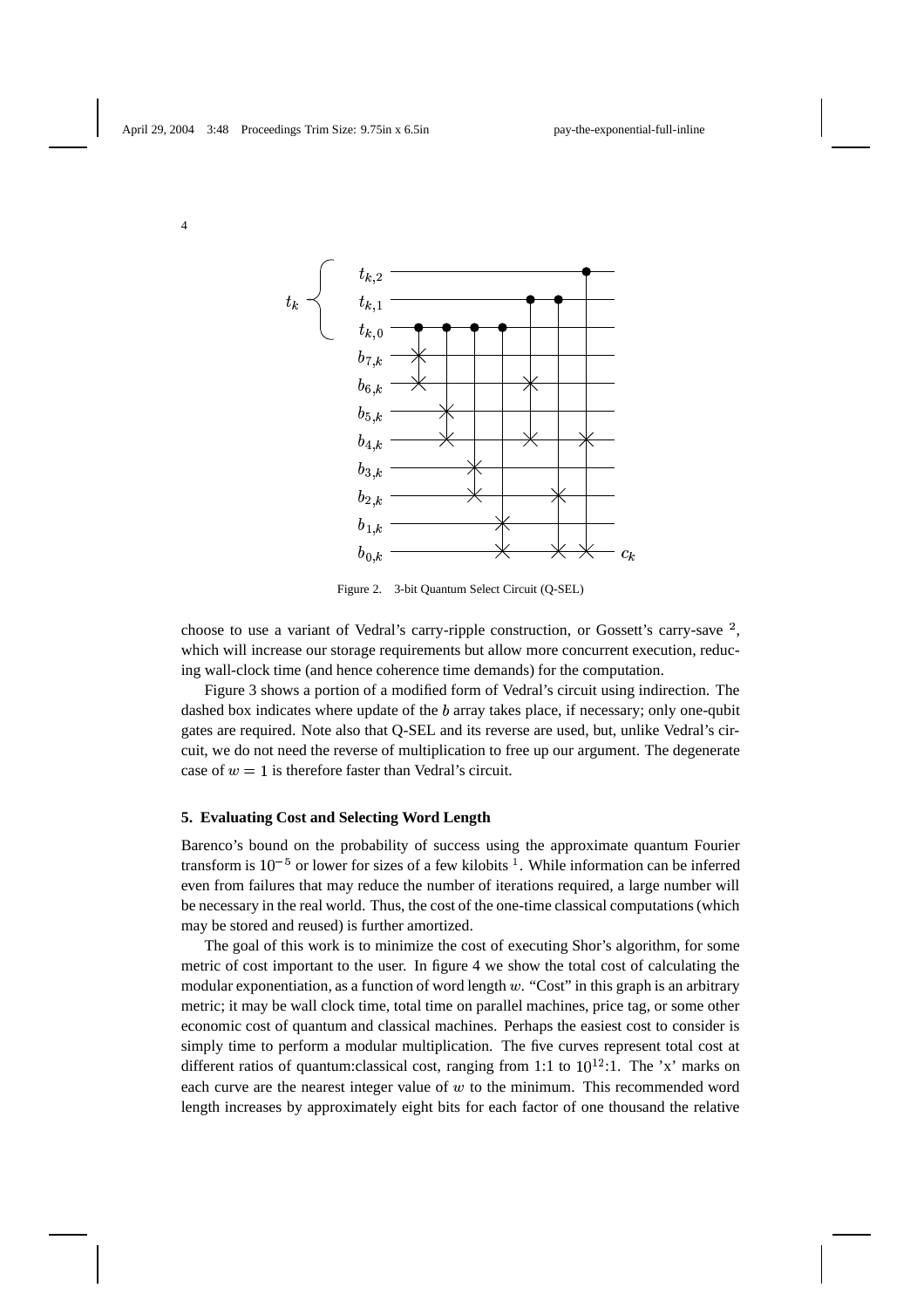4



Figure 2. 3-bit Quantum Select Circuit (Q-SEL)

choose to use a variant of Vedral's carry-ripple construction, or Gossett's carry-save  $\frac{2}{3}$ , which will increase our storage requirements but allow more concurrent execution, reducing wall-clock time (and hence coherence time demands) for the computation.

Figure 3 shows a portion of a modified form of Vedral's circuit using indirection. The dashed box indicates where update of the  $b$  array takes place, if necessary; only one-qubit gates are required. Note also that Q-SEL and its reverse are used, but, unlike Vedral's circuit, we do not need the reverse of multiplication to free up our argument. The degenerate case of  $w = 1$  is therefore faster than Vedral's circuit.

## **5. Evaluating Cost and Selecting Word Length**

Barenco's bound on the probability of success using the approximate quantum Fourier transform is  $10^{-5}$  or lower for sizes of a few kilobits <sup>1</sup>. While information can be inferred even from failures that may reduce the number of iterations required, a large number will be necessary in the real world. Thus, the cost of the one-time classical computations(which may be stored and reused) is further amortized.

The goal of this work is to minimize the cost of executing Shor's algorithm, for some metric of cost important to the user. In figure 4 we show the total cost of calculating the modular exponentiation, as a function of word length  $w$ . "Cost" in this graph is an arbitrary metric; it may be wall clock time, total time on parallel machines, price tag, or some other economic cost of quantum and classical machines. Perhaps the easiest cost to consider is simply time to perform a modular multiplication. The five curves represent total cost at different ratios of quantum: classical cost, ranging from 1:1 to  $10^{12}$ :1. The 'x' marks on each curve are the nearest integer value of  $w$  to the minimum. This recommended word length increases by approximately eight bits for each factor of one thousand the relative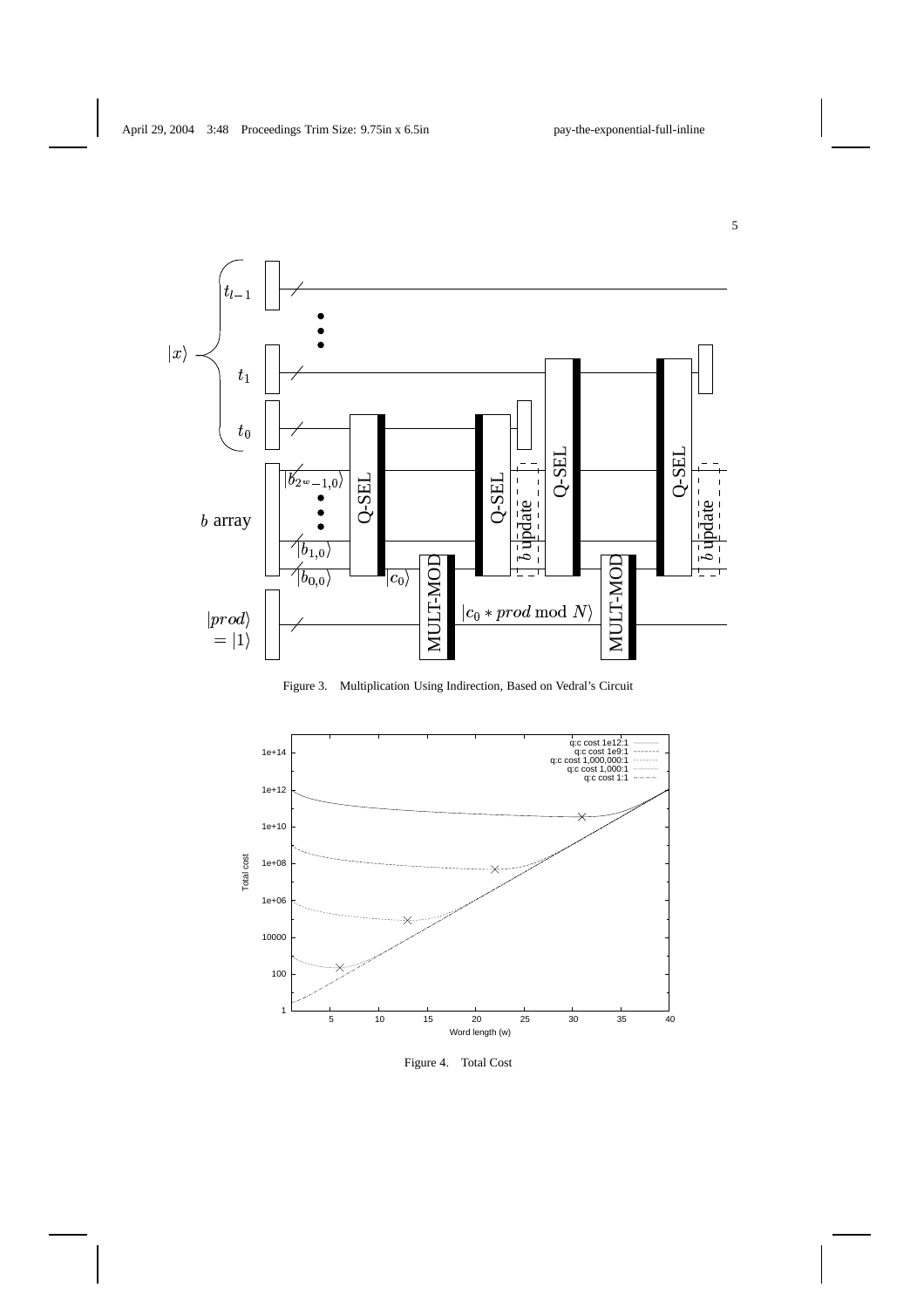

Figure 3. Multiplication Using Indirection, Based on Vedral's Circuit



Figure 4. Total Cost